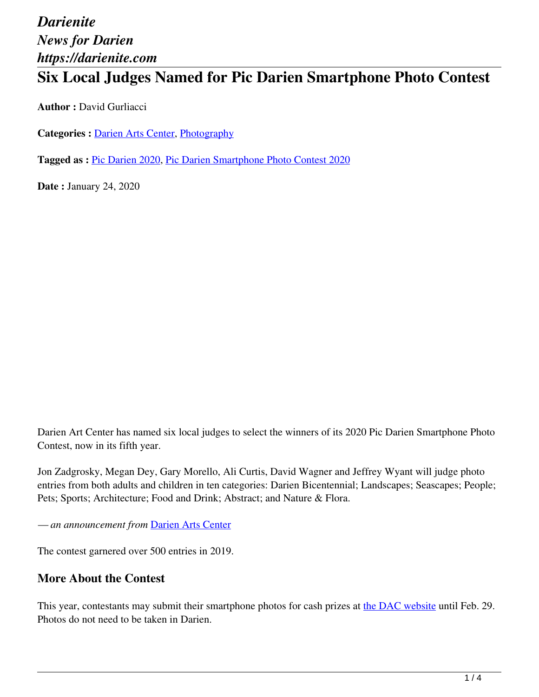## **Six Local Judges Named for Pic Darien Smartphone Photo Contest**

**Author :** David Gurliacci

**Categories :** [Darien Arts Center](https://darienite.com/category/darien-arts-center), Photography

**Tagged as :** Pic Darien 2020, Pic Darien Smartphone Photo Contest 2020

**Date :** January 24, 2020

Darien Art Center has named six local judges to select the winners of its 2020 Pic Darien Smartphone Photo Contest, now in its fifth year.

Jon Zadgrosky, Megan Dey, Gary Morello, Ali Curtis, David Wagner and Jeffrey Wyant will judge photo entries from both adults and children in ten categories: Darien Bicentennial; Landscapes; Seascapes; People; Pets; Sports; Architecture; Food and Drink; Abstract; and Nature & Flora.

*— an announcement from* Darien Arts Center

The contest garnered over 500 entries in 2019.

#### **More About the Contest**

This year, contestants may submit their smartphone photos for cash prizes at the DAC website until Feb. 29. Photos do not need to be taken in Darien.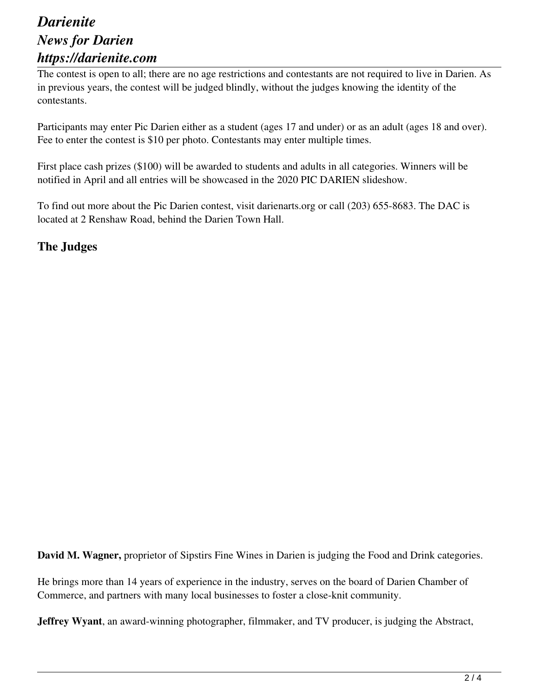The contest is open to all; there are no age restrictions and contestants are not required to live in Darien. As in previous years, the contest will be judged blindly, without the judges knowing the identity of the contestants.

Participants may enter Pic Darien either as a student (ages 17 and under) or as an adult (ages 18 and over). Fee to enter the contest is \$10 per photo. Contestants may enter multiple times.

First place cash prizes (\$100) will be awarded to students and adults in all categories. Winners will be notified in April and all entries will be showcased in the 2020 PIC DARIEN slideshow.

To find out more about the Pic Darien contest, visit darienarts.org or call (203) 655-8683. The DAC is located at 2 Renshaw Road, behind the Darien Town Hall.

#### **The Judges**

**David M. Wagner,** proprietor of Sipstirs Fine Wines in Darien is judging the Food and Drink categories.

He brings more than 14 years of experience in the industry, serves on the board of Darien Chamber of Commerce, and partners with many local businesses to foster a close-knit community.

**Jeffrey Wyant**, an award-winning photographer, filmmaker, and TV producer, is judging the Abstract,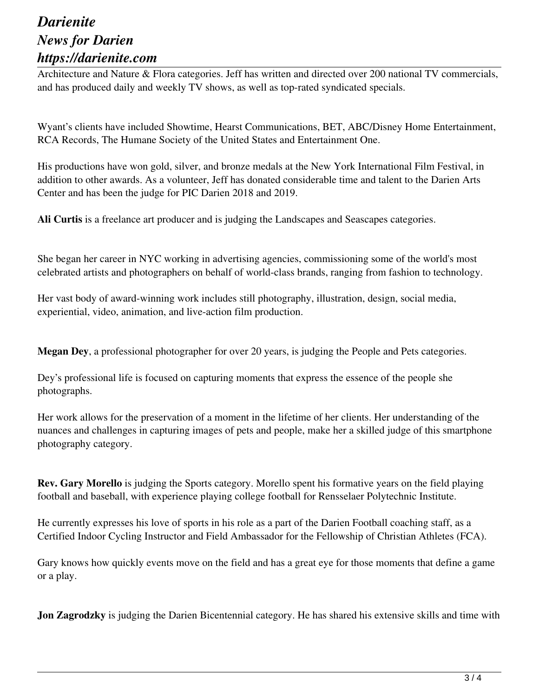Architecture and Nature & Flora categories. Jeff has written and directed over 200 national TV commercials, and has produced daily and weekly TV shows, as well as top-rated syndicated specials.

Wyant's clients have included Showtime, Hearst Communications, BET, ABC/Disney Home Entertainment, RCA Records, The Humane Society of the United States and Entertainment One.

His productions have won gold, silver, and bronze medals at the New York International Film Festival, in addition to other awards. As a volunteer, Jeff has donated considerable time and talent to the Darien Arts Center and has been the judge for PIC Darien 2018 and 2019.

**Ali Curtis** is a freelance art producer and is judging the Landscapes and Seascapes categories.

She began her career in NYC working in advertising agencies, commissioning some of the world's most celebrated artists and photographers on behalf of world-class brands, ranging from fashion to technology.

Her vast body of award-winning work includes still photography, illustration, design, social media, experiential, video, animation, and live-action film production.

**Megan Dey**, a professional photographer for over 20 years, is judging the People and Pets categories.

Dey's professional life is focused on capturing moments that express the essence of the people she photographs.

Her work allows for the preservation of a moment in the lifetime of her clients. Her understanding of the nuances and challenges in capturing images of pets and people, make her a skilled judge of this smartphone photography category.

**Rev. Gary Morello** is judging the Sports category. Morello spent his formative years on the field playing football and baseball, with experience playing college football for Rensselaer Polytechnic Institute.

He currently expresses his love of sports in his role as a part of the Darien Football coaching staff, as a Certified Indoor Cycling Instructor and Field Ambassador for the Fellowship of Christian Athletes (FCA).

Gary knows how quickly events move on the field and has a great eye for those moments that define a game or a play.

**Jon Zagrodzky** is judging the Darien Bicentennial category. He has shared his extensive skills and time with